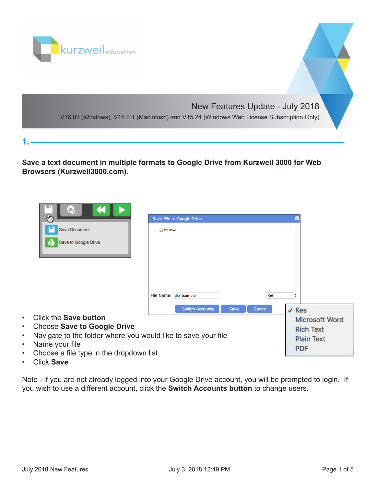

**Save a text document in multiple formats to Google Drive from Kurzweil 3000 for Web Browsers (Kurzweil3000.com).**

| 上方<br>€                                                                                                                                                                                                                           | Save File to Google Drive                                             | $\mathbf{x}$     |
|-----------------------------------------------------------------------------------------------------------------------------------------------------------------------------------------------------------------------------------|-----------------------------------------------------------------------|------------------|
| <b>Save Document</b><br>Save to Google Drive                                                                                                                                                                                      | $\triangleright$ My Drive                                             |                  |
|                                                                                                                                                                                                                                   | File Name: draftsample<br>Kes                                         | ÷                |
|                                                                                                                                                                                                                                   | <b>Switch Accounts</b><br><b>Save</b><br>Cancel                       | $\checkmark$ Kes |
| <b>Click the Save button</b><br>٠<br><b>Choose Save to Google Drive</b><br>٠<br>Navigate to the folder where you would like to save your file<br>٠<br>Name your file<br>٠<br>Choose a file type in the dropdown list<br>$\bullet$ | Microsoft Word<br><b>Rich Text</b><br><b>Plain Text</b><br><b>PDF</b> |                  |

• Click **Save**

**1.** 

Note - if you are not already logged into your Google Drive account, you will be prompted to login. If you wish to use a different account, click the **Switch Accounts button** to change users.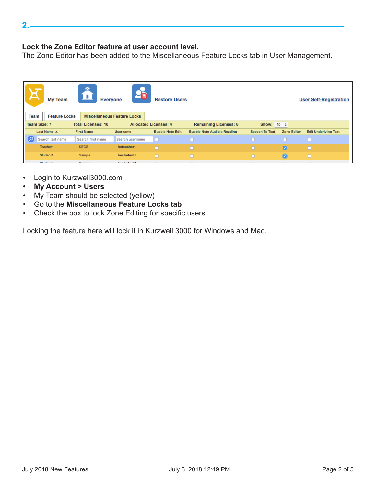## **Lock the Zone Editor feature at user account level.**

The Zone Editor has been added to the Miscellaneous Feature Locks tab in User Management.

| 介<br><b>My Team</b><br><b>Everyone</b><br><b>Restore Users</b><br><b>User Self-Registration</b><br><b>Miscellaneous Feature Locks</b><br><b>Team</b><br><b>Feature Locks</b> |                           |                                                                                 |                              |                                    |                       |                    |                             |
|------------------------------------------------------------------------------------------------------------------------------------------------------------------------------|---------------------------|---------------------------------------------------------------------------------|------------------------------|------------------------------------|-----------------------|--------------------|-----------------------------|
| <b>Team Size: 7</b>                                                                                                                                                          | <b>Total Licenses: 10</b> |                                                                                 | <b>Allocated Licenses: 4</b> | <b>Remaining Licenses: 6</b>       | Show: $10 \div$       |                    |                             |
| Last Name A                                                                                                                                                                  | <b>First Name</b>         | <b>Username</b>                                                                 | <b>Bubble Note Edit</b>      | <b>Bubble Note Audible Reading</b> | <b>Speech To Text</b> | <b>Zone Editor</b> | <b>Edit Underlying Text</b> |
| Q<br>Search last name                                                                                                                                                        | Search first name         | Search username                                                                 | In                           |                                    |                       | ÆŦ                 |                             |
| Teacher1                                                                                                                                                                     | <b>KECS</b>               | keteacher1                                                                      | п                            | $\Box$                             | п                     | ø                  | n                           |
| Student1                                                                                                                                                                     | Sample                    | kestudent1                                                                      | $\Box$                       | $\Box$                             | Ē                     | $\blacksquare$     |                             |
| the company's company's company's company's                                                                                                                                  | ___                       | the contract of the contract of the contract of the contract of the contract of |                              |                                    |                       |                    |                             |

- Login to Kurzweil3000.com
- **• My Account > Users**
- My Team should be selected (yellow)
- Go to the **Miscellaneous Feature Locks tab**
- Check the box to lock Zone Editing for specific users

Locking the feature here will lock it in Kurzweil 3000 for Windows and Mac.

July 2018 New Features **State 10 and State 12:49 PM** July 3, 2018 12:49 PM Page 2 of 5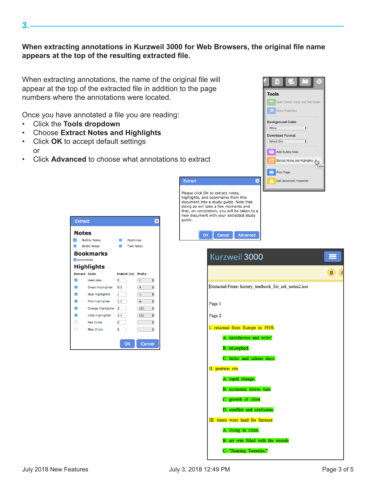## **When extracting annotations in Kurzweil 3000 for Web Browsers, the original file name appears at the top of the resulting extracted file.**

Extract

quide.

When extracting annotations, the name of the original file will appear at the top of the extracted file in addition to the page numbers where the annotations were located.

Once you have annotated a file you are reading:

- Click the **Tools dropdown**
- Choose **Extract Notes and Highlights**
- Click **OK** to accept default settings or
- Click **Advanced** to choose what annotations to extract

| <b>Extract</b>           |                          |               |                   |               | $\boldsymbol{\varkappa}$ |
|--------------------------|--------------------------|---------------|-------------------|---------------|--------------------------|
| <b>Notes</b>             |                          |               |                   |               |                          |
|                          | <b>Bubble Notes</b>      | $\mathcal{L}$ | <b>Footnotes</b>  |               |                          |
| ⊽                        | <b>Sticky Notes</b>      | Ø             | <b>Text Notes</b> |               |                          |
|                          | Bookmarks                |               |                   |               |                          |
| <b>Bookmarks</b>         |                          |               |                   |               |                          |
|                          | <b>Highlights</b>        |               |                   |               |                          |
| <b>Extract Color</b>     |                          |               | Indent (in)       | <b>Prefix</b> |                          |
| ☑                        | main idea                | O             |                   | I.            | ٠                        |
| $\overline{\mathcal{S}}$ | <b>Green Highlighter</b> | 0.5           |                   | Α.            | $\div$                   |
| ⊽                        | <b>Blue Highlighter</b>  | 1             |                   | 1.            | $\div$                   |
| $\overline{\mathcal{S}}$ | Pink Highlighter         | 1.5           |                   | a.            | ٠                        |
| ☑                        | Orange Highlighter       | 2             |                   | (1).          | $\div$                   |
| $\overline{\mathcal{S}}$ | Gray Highlighter         | 2.5           |                   | (a).          | ٠                        |
| С                        | <b>Red Circle</b>        | 0             |                   |               | $\div$                   |
| C                        | <b>Blue Circle</b>       | O             |                   |               | $\div$                   |
|                          |                          |               |                   |               |                          |
|                          |                          |               | OK                | Cancel        |                          |



**3.**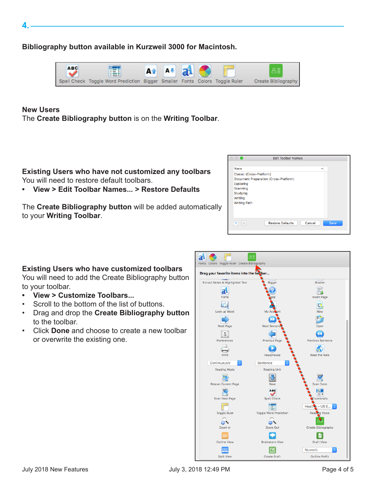**4.** 

**Bibliography button available in Kurzweil 3000 for Macintosh.**



## **New Users**

The **Create Bibliography button** is on the **Writing Toolbar**.

**Existing Users who have not customized any toolbars** You will need to restore default toolbars.

**• View > Edit Toolbar Names... > Restore Defaults**

The **Create Bibliography button** will be added automatically to your **Writing Toolbar**.

| <b>Edit Toolbar Names</b>                                                                                                                |        |
|------------------------------------------------------------------------------------------------------------------------------------------|--------|
| Name                                                                                                                                     | $\sim$ |
| Classic (Cross-Platform)<br>Document Preparation (Cross-Platform)<br>Exploring<br>Scanning<br>Studying<br>Writing<br><b>Writing Path</b> |        |
| <b>Restore Defaults</b><br>Cancel<br>2<br>$\qquad \qquad$                                                                                | Save   |

## **Existing Users who have customized toolbars**

You will need to add the Create Bibliography button to your toolbar.

- **• View > Customize Toolbars...**
- Scroll to the bottom of the list of buttons.
- Drag and drop the **Create Bibliography button** to the toolbar.
- Click **Done** and choose to create a new toolbar or overwrite the existing one.